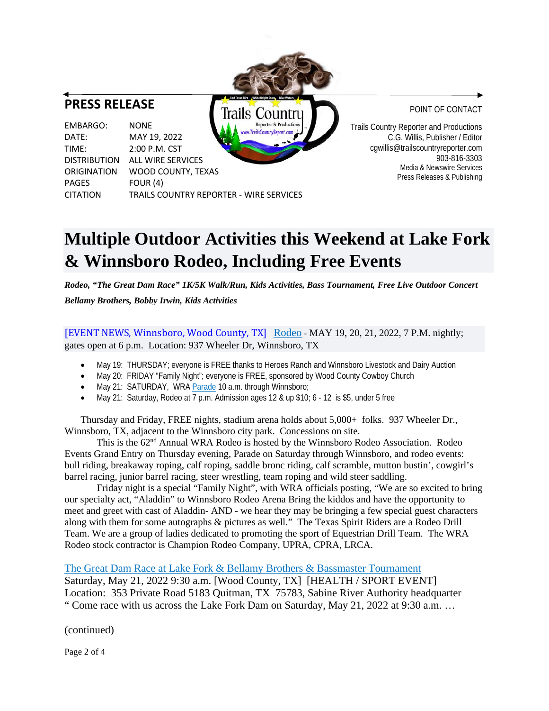## **PRESS RELEASE**

Trails Countru Reporter & Productions EMBARGO: NONE TrailsCountryReport.com DATE: MAY 19, 2022 TIME: 2:00 P.M. CST DISTRIBUTION ALL WIRE SERVICES ORIGINATION WOOD COUNTY, TEXAS PAGES FOUR (4) CITATION TRAILS COUNTRY REPORTER - WIRE SERVICES POINT OF CONTACT

Trails Country Reporter and Productions C.G. Willis, Publisher / Editor cgwillis@trailscountryreporter.com 903-816-3303 Media & Newswire Services Press Releases & Publishing

## **Multiple Outdoor Activities this Weekend at Lake Fork & Winnsboro Rodeo, Including Free Events**

*Rodeo, "The Great Dam Race" 1K/5K Walk/Run, Kids Activities, Bass Tournament, Free Live Outdoor Concert Bellamy Brothers, Bobby Irwin, Kids Activities*

[EVENT NEWS, Winnsboro, Wood County, TX] Rodeo - MAY 19, 20, 21, 2022, 7 P.M. nightly; gates open at 6 p.m. Location: 937 Wheeler Dr, Winnsboro, TX

- May 19: THURSDAY; everyone is FREE thanks to Heroes Ranch and Winnsboro Livestock and Dairy Auction
- May 20: FRIDAY "Family Night"; everyone is FREE, sponsored by Wood County Cowboy Church
- May 21: SATURDAY, WRA Parade 10 a.m. through Winnsboro;
- May 21: Saturday, Rodeo at 7 p.m. Admission ages 12 & up \$10; 6 12 is \$5, under 5 free

Thursday and Friday, FREE nights, stadium arena holds about 5,000+ folks. 937 Wheeler Dr., Winnsboro, TX, adjacent to the Winnsboro city park. Concessions on site.

This is the 62nd Annual WRA Rodeo is hosted by the Winnsboro Rodeo Association. Rodeo Events Grand Entry on Thursday evening, Parade on Saturday through Winnsboro, and rodeo events: bull riding, breakaway roping, calf roping, saddle bronc riding, calf scramble, mutton bustin', cowgirl's barrel racing, junior barrel racing, steer wrestling, team roping and wild steer saddling.

Friday night is a special "Family Night", with WRA officials posting, "We are so excited to bring our specialty act, "Aladdin" to Winnsboro Rodeo Arena Bring the kiddos and have the opportunity to meet and greet with cast of Aladdin- AND - we hear they may be bringing a few special guest characters along with them for some autographs & pictures as well." The Texas Spirit Riders are a Rodeo Drill Team. We are a group of ladies dedicated to promoting the sport of Equestrian Drill Team. The WRA Rodeo stock contractor is Champion Rodeo Company, UPRA, CPRA, LRCA.

The Great Dam Race at Lake Fork & Bellamy Brothers & Bassmaster Tournament

Saturday, May 21, 2022 9:30 a.m. [Wood County, TX] [HEALTH / SPORT EVENT] Location: 353 Private Road 5183 Quitman, TX 75783, Sabine River Authority headquarter " Come race with us across the Lake Fork Dam on Saturday, May 21, 2022 at 9:30 a.m. …

(continued)

Page 2 of 4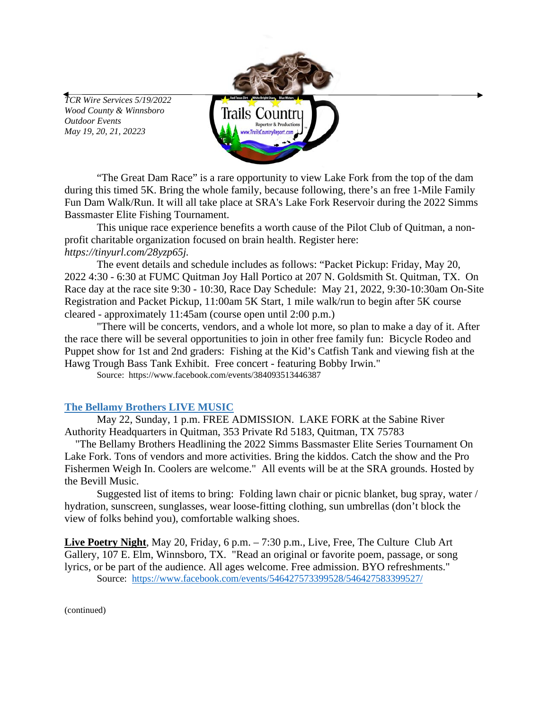*TCR Wire Services 5/19/2022 Wood County & Winnsboro Outdoor Events May 19, 20, 21, 20223*



"The Great Dam Race" is a rare opportunity to view Lake Fork from the top of the dam during this timed 5K. Bring the whole family, because following, there's an free 1-Mile Family Fun Dam Walk/Run. It will all take place at SRA's Lake Fork Reservoir during the 2022 Simms Bassmaster Elite Fishing Tournament.

This unique race experience benefits a worth cause of the Pilot Club of Quitman, a nonprofit charitable organization focused on brain health. Register here: *[https://tinyurl.com/28yzp65j.](https://tinyurl.com/28yzp65j)* 

The event details and schedule includes as follows: "Packet Pickup: Friday, May 20, 2022 4:30 - 6:30 at FUMC Quitman Joy Hall Portico at 207 N. Goldsmith St. Quitman, TX. On Race day at the race site 9:30 - 10:30, Race Day Schedule: May 21, 2022, 9:30-10:30am On-Site Registration and Packet Pickup, 11:00am 5K Start, 1 mile walk/run to begin after 5K course cleared - approximately 11:45am (course open until 2:00 p.m.)

"There will be concerts, vendors, and a whole lot more, so plan to make a day of it. After the race there will be several opportunities to join in other free family fun: Bicycle Rodeo and Puppet show for 1st and 2nd graders: Fishing at the Kid's Catfish Tank and viewing fish at the Hawg Trough Bass Tank Exhibit. Free concert - featuring Bobby Irwin."

Source: https://www.facebook.com/events/384093513446387

## **The Bellamy Brothers LIVE MUSIC**

May 22, Sunday, 1 p.m. FREE ADMISSION. LAKE FORK at the Sabine River Authority Headquarters in Quitman, 353 Private Rd 5183, Quitman, TX 75783

 "The Bellamy Brothers Headlining the 2022 Simms Bassmaster Elite Series Tournament On Lake Fork. Tons of vendors and more activities. Bring the kiddos. Catch the show and the Pro Fishermen Weigh In. Coolers are welcome." All events will be at the SRA grounds. Hosted by the Bevill Music.

Suggested list of items to bring: Folding lawn chair or picnic blanket, bug spray, water / hydration, sunscreen, sunglasses, wear loose-fitting clothing, sun umbrellas (don't block the view of folks behind you), comfortable walking shoes.

**Live Poetry Night**, May 20, Friday, 6 p.m. – 7:30 p.m., Live, Free, The Culture Club Art Gallery, 107 E. Elm, Winnsboro, TX. "Read an original or favorite poem, passage, or song lyrics, or be part of the audience. All ages welcome. Free admission. BYO refreshments." Source: <https://www.facebook.com/events/546427573399528/546427583399527/>

(continued)